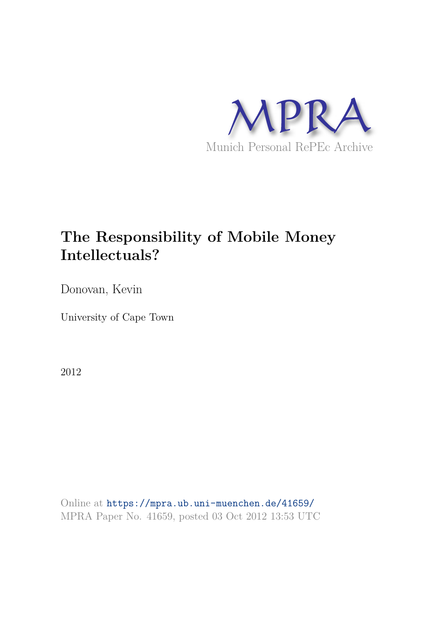

## **The Responsibility of Mobile Money Intellectuals?**

Donovan, Kevin

University of Cape Town

2012

Online at https://mpra.ub.uni-muenchen.de/41659/ MPRA Paper No. 41659, posted 03 Oct 2012 13:53 UTC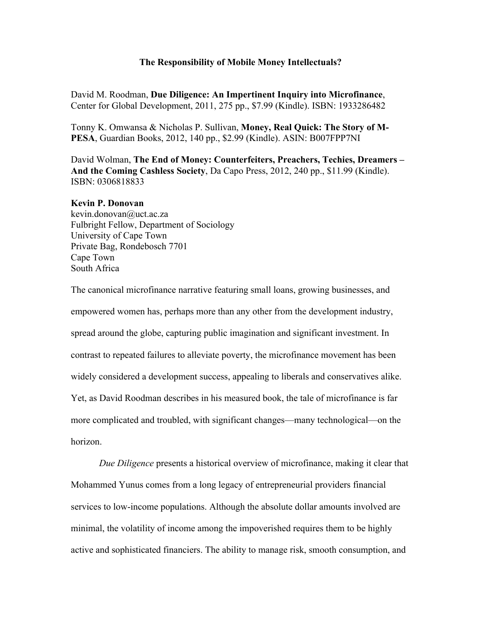## **The Responsibility of Mobile Money Intellectuals?**

David M. Roodman, **Due Diligence: An Impertinent Inquiry into Microfinance**, Center for Global Development, 2011, 275 pp., \$7.99 (Kindle). ISBN: 1933286482

Tonny K. Omwansa & Nicholas P. Sullivan, **Money, Real Quick: The Story of M-PESA**, Guardian Books, 2012, 140 pp., \$2.99 (Kindle). ASIN: B007FPP7NI

David Wolman, **The End of Money: Counterfeiters, Preachers, Techies, Dreamers – And the Coming Cashless Society**, Da Capo Press, 2012, 240 pp., \$11.99 (Kindle). ISBN: 0306818833

## **Kevin P. Donovan**

kevin.donovan@uct.ac.za Fulbright Fellow, Department of Sociology University of Cape Town Private Bag, Rondebosch 7701 Cape Town South Africa

The canonical microfinance narrative featuring small loans, growing businesses, and empowered women has, perhaps more than any other from the development industry, spread around the globe, capturing public imagination and significant investment. In contrast to repeated failures to alleviate poverty, the microfinance movement has been widely considered a development success, appealing to liberals and conservatives alike. Yet, as David Roodman describes in his measured book, the tale of microfinance is far more complicated and troubled, with significant changes—many technological—on the horizon.

*Due Diligence* presents a historical overview of microfinance, making it clear that Mohammed Yunus comes from a long legacy of entrepreneurial providers financial services to low-income populations. Although the absolute dollar amounts involved are minimal, the volatility of income among the impoverished requires them to be highly active and sophisticated financiers. The ability to manage risk, smooth consumption, and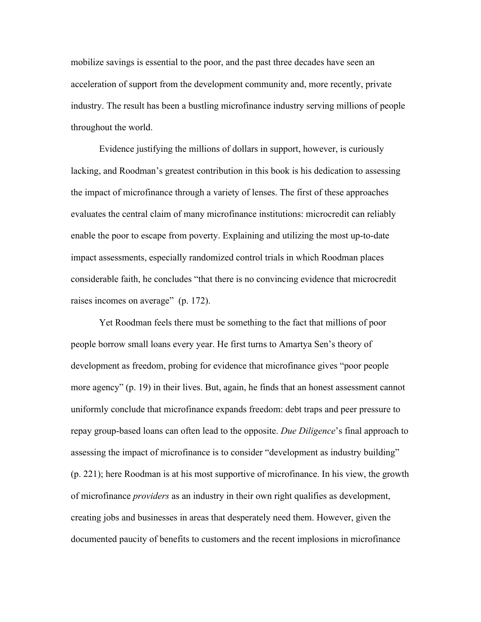mobilize savings is essential to the poor, and the past three decades have seen an acceleration of support from the development community and, more recently, private industry. The result has been a bustling microfinance industry serving millions of people throughout the world.

 Evidence justifying the millions of dollars in support, however, is curiously lacking, and Roodman's greatest contribution in this book is his dedication to assessing the impact of microfinance through a variety of lenses. The first of these approaches evaluates the central claim of many microfinance institutions: microcredit can reliably enable the poor to escape from poverty. Explaining and utilizing the most up-to-date impact assessments, especially randomized control trials in which Roodman places considerable faith, he concludes "that there is no convincing evidence that microcredit raises incomes on average" (p. 172).

Yet Roodman feels there must be something to the fact that millions of poor people borrow small loans every year. He first turns to Amartya Sen's theory of development as freedom, probing for evidence that microfinance gives "poor people more agency" (p. 19) in their lives. But, again, he finds that an honest assessment cannot uniformly conclude that microfinance expands freedom: debt traps and peer pressure to repay group-based loans can often lead to the opposite. *Due Diligence*'s final approach to assessing the impact of microfinance is to consider "development as industry building" (p. 221); here Roodman is at his most supportive of microfinance. In his view, the growth of microfinance *providers* as an industry in their own right qualifies as development, creating jobs and businesses in areas that desperately need them. However, given the documented paucity of benefits to customers and the recent implosions in microfinance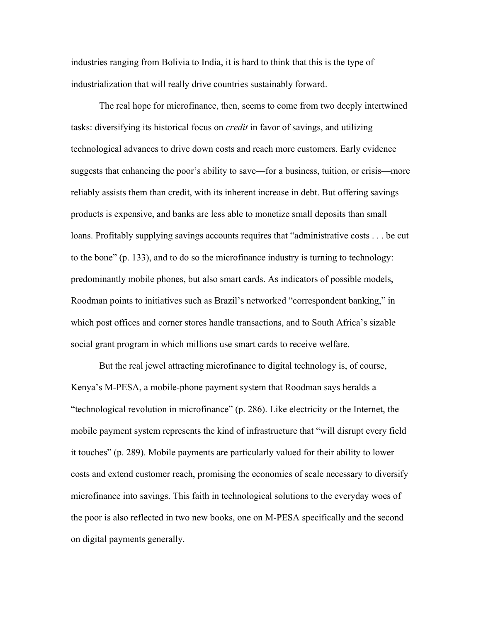industries ranging from Bolivia to India, it is hard to think that this is the type of industrialization that will really drive countries sustainably forward.

The real hope for microfinance, then, seems to come from two deeply intertwined tasks: diversifying its historical focus on *credit* in favor of savings, and utilizing technological advances to drive down costs and reach more customers. Early evidence suggests that enhancing the poor's ability to save—for a business, tuition, or crisis—more reliably assists them than credit, with its inherent increase in debt. But offering savings products is expensive, and banks are less able to monetize small deposits than small loans. Profitably supplying savings accounts requires that "administrative costs . . . be cut to the bone" (p. 133), and to do so the microfinance industry is turning to technology: predominantly mobile phones, but also smart cards. As indicators of possible models, Roodman points to initiatives such as Brazil's networked "correspondent banking," in which post offices and corner stores handle transactions, and to South Africa's sizable social grant program in which millions use smart cards to receive welfare.

But the real jewel attracting microfinance to digital technology is, of course, Kenya's M-PESA, a mobile-phone payment system that Roodman says heralds a "technological revolution in microfinance" (p. 286). Like electricity or the Internet, the mobile payment system represents the kind of infrastructure that "will disrupt every field it touches" (p. 289). Mobile payments are particularly valued for their ability to lower costs and extend customer reach, promising the economies of scale necessary to diversify microfinance into savings. This faith in technological solutions to the everyday woes of the poor is also reflected in two new books, one on M-PESA specifically and the second on digital payments generally.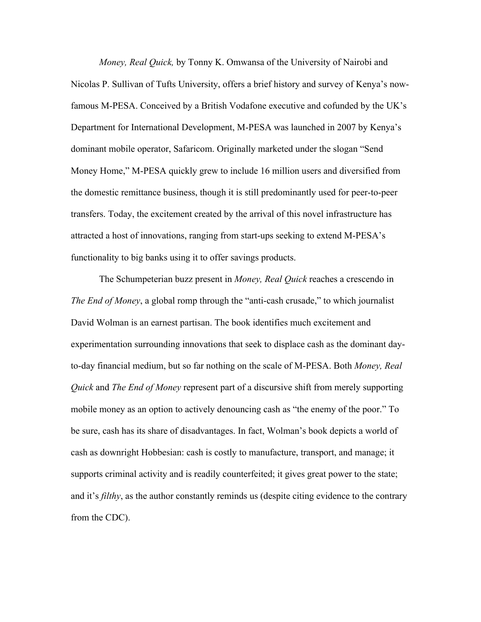*Money, Real Quick,* by Tonny K. Omwansa of the University of Nairobi and Nicolas P. Sullivan of Tufts University, offers a brief history and survey of Kenya's nowfamous M-PESA. Conceived by a British Vodafone executive and cofunded by the UK's Department for International Development, M-PESA was launched in 2007 by Kenya's dominant mobile operator, Safaricom. Originally marketed under the slogan "Send Money Home," M-PESA quickly grew to include 16 million users and diversified from the domestic remittance business, though it is still predominantly used for peer-to-peer transfers. Today, the excitement created by the arrival of this novel infrastructure has attracted a host of innovations, ranging from start-ups seeking to extend M-PESA's functionality to big banks using it to offer savings products.

The Schumpeterian buzz present in *Money, Real Quick* reaches a crescendo in *The End of Money*, a global romp through the "anti-cash crusade," to which journalist David Wolman is an earnest partisan. The book identifies much excitement and experimentation surrounding innovations that seek to displace cash as the dominant dayto-day financial medium, but so far nothing on the scale of M-PESA. Both *Money, Real Quick* and *The End of Money* represent part of a discursive shift from merely supporting mobile money as an option to actively denouncing cash as "the enemy of the poor." To be sure, cash has its share of disadvantages. In fact, Wolman's book depicts a world of cash as downright Hobbesian: cash is costly to manufacture, transport, and manage; it supports criminal activity and is readily counterfeited; it gives great power to the state; and it's *filthy*, as the author constantly reminds us (despite citing evidence to the contrary from the CDC).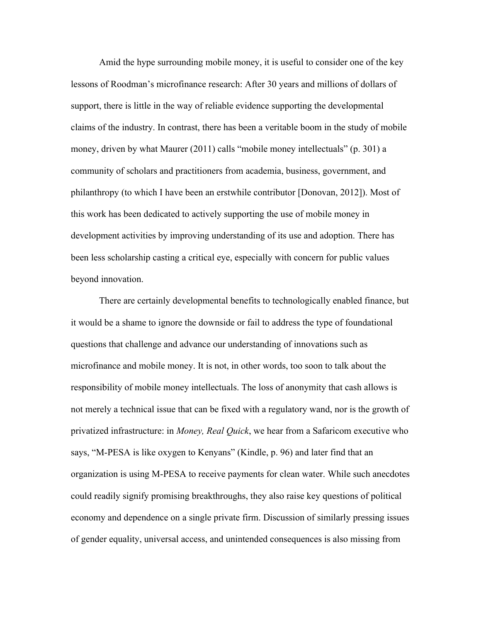Amid the hype surrounding mobile money, it is useful to consider one of the key lessons of Roodman's microfinance research: After 30 years and millions of dollars of support, there is little in the way of reliable evidence supporting the developmental claims of the industry. In contrast, there has been a veritable boom in the study of mobile money, driven by what Maurer (2011) calls "mobile money intellectuals" (p. 301) a community of scholars and practitioners from academia, business, government, and philanthropy (to which I have been an erstwhile contributor [Donovan, 2012]). Most of this work has been dedicated to actively supporting the use of mobile money in development activities by improving understanding of its use and adoption. There has been less scholarship casting a critical eye, especially with concern for public values beyond innovation.

 There are certainly developmental benefits to technologically enabled finance, but it would be a shame to ignore the downside or fail to address the type of foundational questions that challenge and advance our understanding of innovations such as microfinance and mobile money. It is not, in other words, too soon to talk about the responsibility of mobile money intellectuals. The loss of anonymity that cash allows is not merely a technical issue that can be fixed with a regulatory wand, nor is the growth of privatized infrastructure: in *Money, Real Quick*, we hear from a Safaricom executive who says, "M-PESA is like oxygen to Kenyans" (Kindle, p. 96) and later find that an organization is using M-PESA to receive payments for clean water. While such anecdotes could readily signify promising breakthroughs, they also raise key questions of political economy and dependence on a single private firm. Discussion of similarly pressing issues of gender equality, universal access, and unintended consequences is also missing from